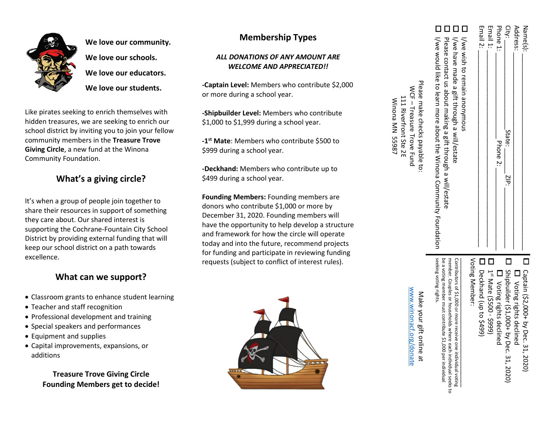

**We love our community. We love our schools. We love our educators. We love our students.**

Like pirates seeking to enrich themselves with hidden treasures, we are seeking to enrich our school district by inviting you to join your fellow community members in the **Treasure Trove Giving Circle**, a new fund at the Winona Community Foundation.

# **What's a giving circle?**

It's when a group of people join together to share their resources in support of something they care about. Our shared interest is supporting the Cochrane -Fountain City School District by providing external funding that will keep our school district on a path towards excellence.

### **What can we support?**

- Classroom grants to enhance student learning
- Teacher and staff recognition
- Professional development and training
- Special speakers and performances
- Equipment and supplies
- Capital improvements, expansions, or additions

### **Treasure Trove Giving Circle Founding Members get to decide!**

# **Membership Types**

#### *ALL DONATIONS OF ANY AMOUNT ARE WELCOME AND APPRECIATED!!*

**-Captain Level:** Members who contribute \$2,000 or more during a school year .

**-Shipbuilder Level:** Members who contribute \$1,000 to \$1,999 during a school year .

**- 1st Mate**: Members who contribute \$500 to \$999 during a school year.

**-Deckhand:** Members who contribute up to \$499 during a school year.

**Founding Members:** Founding members are donors who contribute \$1,000 or more by December 31, 2020. Founding members will have the opportunity to help develop a structure and framework for how the circle will operate today and into the future, recommend projects for funding and participate in reviewing funding requests (subject to conflict of interest rules).



|                  | Email 1:                                                                                                                            |
|------------------|-------------------------------------------------------------------------------------------------------------------------------------|
|                  | Email 2:                                                                                                                            |
| $\Box$           | I/we wish to remain anonymous                                                                                                       |
| $\mathbb{R}^2$   | I/we have made a gift through a will/estate                                                                                         |
| $\sim$<br>$\sim$ | I/ We would like to learn more about the Winona Community Foundation<br>Please contact us about making a gift through a will/estate |
|                  | Please make checks payable to:                                                                                                      |

**国 関 関 関** 

 $MCF -$ 

Treasure Trove Fund

Treasure Trove Fund

Winona MN 55987 111 Riverfront Ste 2E

111 Riverfront Ste 2E Winona MN 55987

|                |                        | $\overline{\phantom{a}}$             |                          | $\overline{\phantom{a}}$                |                          | $\mathcal{L}$                       |
|----------------|------------------------|--------------------------------------|--------------------------|-----------------------------------------|--------------------------|-------------------------------------|
| Voting Member: | Deckhand (up to \$499) | 1 <sup>st</sup> Mate (\$500 - \$999) | □ Voting rights declined | Shipbuilder (\$1,000+ by Dec. 31, 2020) | D Noting rights declined | Captain (\$2,000+ by Dec. 31, 2020) |

 $\mathsf{Za}\, \mathsf{B}\, \mathsf{a}$ .  $\mathsf{S}$  :  $\Box$ 

 $\text{City}: \underline{\hspace{2cm}}$ Address:

ZIP:

State:

 $P$  phone 2:  $P$ 

Phone 2:

Phone 1:

City: Phone 1:

Address: Name(s)

또 핓

seeking voting rights seeking voting rights. be a voting be a voting member must contribute \$1,000 per individual member. Couples member. Couples or households where each individual seeks to Contributors of \$1,000 or more receive one individual voting ontributors of \$1,000 or more receive one member must contribute or households where each individual seeks to<br>bute \$1,000 per individual individual voting

www.winonacf.org/donate www.winonacf.org/donateMake your gift online at Make your gift online at